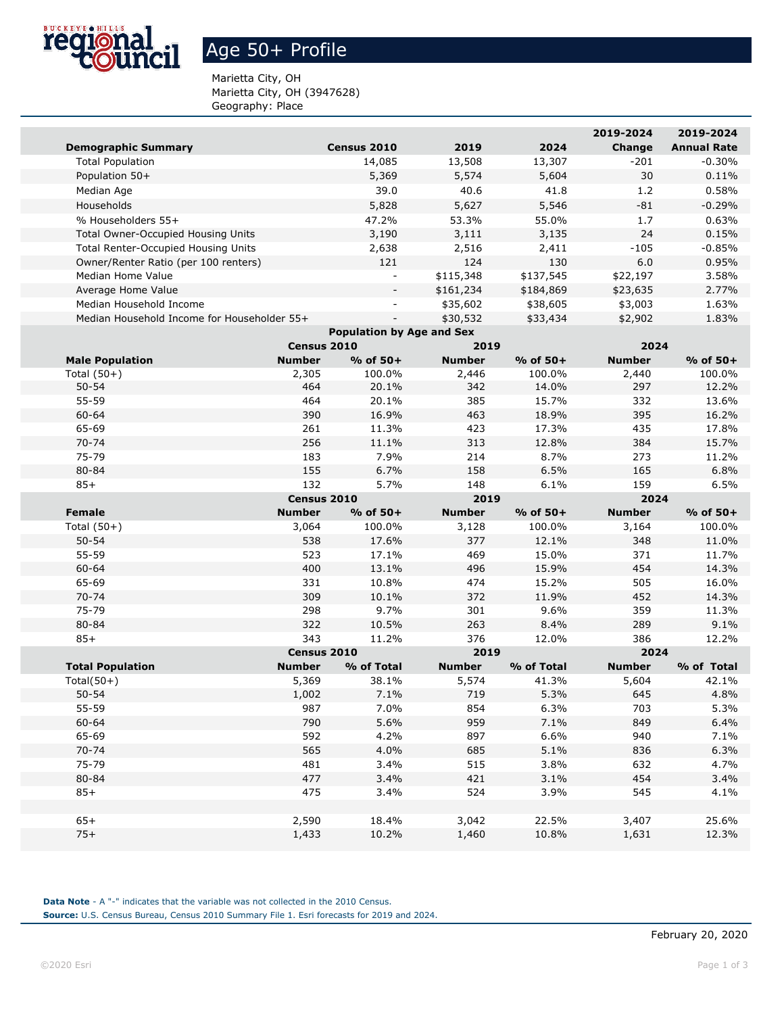

## Age 50+ Profile

Marietta City, OH Marietta City, OH (3947628) Geography: Place

|                                             |                |                                  |                |                | 2019-2024      | 2019-2024          |
|---------------------------------------------|----------------|----------------------------------|----------------|----------------|----------------|--------------------|
| <b>Demographic Summary</b>                  |                | Census 2010                      | 2019           | 2024           | Change         | <b>Annual Rate</b> |
| <b>Total Population</b>                     |                | 14,085                           | 13,508         | 13,307         | $-201$         | $-0.30%$           |
| Population 50+                              |                | 5,369                            | 5,574          | 5,604          | 30             | 0.11%              |
| Median Age                                  |                | 39.0                             | 40.6           | 41.8           | 1.2            | 0.58%              |
| Households                                  |                | 5,828                            | 5,627          | 5,546          | $-81$          | $-0.29%$           |
| % Householders 55+                          |                | 47.2%                            | 53.3%          | 55.0%          | 1.7            | 0.63%              |
| Total Owner-Occupied Housing Units          |                | 3,190                            | 3,111          | 3,135          | 24             | 0.15%              |
| Total Renter-Occupied Housing Units         |                | 2,638                            | 2,516          | 2,411          | $-105$         | $-0.85%$           |
| Owner/Renter Ratio (per 100 renters)        |                | 121                              | 124            | 130            | 6.0            | 0.95%              |
| Median Home Value                           |                | $\overline{\phantom{a}}$         | \$115,348      | \$137,545      | \$22,197       | 3.58%              |
| Average Home Value                          |                |                                  | \$161,234      | \$184,869      | \$23,635       | 2.77%              |
| Median Household Income                     |                |                                  | \$35,602       | \$38,605       | \$3,003        | 1.63%              |
| Median Household Income for Householder 55+ |                |                                  | \$30,532       | \$33,434       | \$2,902        | 1.83%              |
|                                             |                | <b>Population by Age and Sex</b> |                |                |                |                    |
|                                             | Census 2010    |                                  | 2019           |                | 2024           |                    |
| <b>Male Population</b>                      | <b>Number</b>  | $%$ of 50+                       | <b>Number</b>  | $%$ of 50+     | <b>Number</b>  | $%$ of 50+         |
| Total $(50+)$                               | 2,305          | 100.0%                           | 2,446          | 100.0%         | 2,440          | 100.0%             |
| $50 - 54$                                   | 464            | 20.1%                            | 342            | 14.0%          | 297            | 12.2%              |
| 55-59                                       | 464            | 20.1%                            | 385            | 15.7%          | 332            | 13.6%              |
| 60-64                                       | 390            | 16.9%                            | 463            | 18.9%          | 395            | 16.2%              |
| 65-69                                       | 261            | 11.3%                            | 423            | 17.3%          | 435            | 17.8%              |
| $70 - 74$                                   | 256            | 11.1%                            | 313            | 12.8%          | 384            | 15.7%              |
| 75-79                                       | 183            | 7.9%                             | 214            | 8.7%           | 273            | 11.2%              |
| 80-84                                       | 155            | 6.7%                             | 158            | 6.5%           | 165            | 6.8%               |
| $85+$                                       | 132            | 5.7%                             | 148            | 6.1%           | 159            | 6.5%               |
|                                             |                |                                  |                |                |                |                    |
|                                             | Census 2010    |                                  | 2019           |                | 2024           |                    |
| Female                                      | <b>Number</b>  | % of 50+                         | <b>Number</b>  | % of 50+       | <b>Number</b>  | $%$ of 50+         |
| Total $(50+)$                               | 3,064          | 100.0%                           | 3,128          | 100.0%         | 3,164          | 100.0%             |
| $50 - 54$                                   | 538            | 17.6%                            | 377            | 12.1%          | 348            | 11.0%              |
| 55-59                                       | 523            | 17.1%                            | 469            | 15.0%          | 371            | 11.7%              |
| 60-64                                       | 400            | 13.1%                            | 496            | 15.9%          | 454            | 14.3%              |
| 65-69                                       | 331            | 10.8%                            | 474            | 15.2%          | 505            | 16.0%              |
| 70-74                                       | 309            | 10.1%                            | 372            | 11.9%          | 452            | 14.3%              |
| 75-79                                       | 298            | 9.7%                             | 301            | 9.6%           | 359            | 11.3%              |
| 80-84                                       | 322            | 10.5%                            | 263            | 8.4%           | 289            | 9.1%               |
| $85+$                                       | 343            | 11.2%                            | 376            | 12.0%          | 386            | 12.2%              |
|                                             | Census 2010    |                                  | 2019           |                | 2024           |                    |
| <b>Total Population</b>                     | <b>Number</b>  | % of Total                       | <b>Number</b>  | % of Total     | <b>Number</b>  | % of Total         |
| Total $(50+)$                               | 5,369          | 38.1%                            | 5,574          | 41.3%          | 5,604          | 42.1%              |
| $50 - 54$                                   | 1,002          | 7.1%                             | 719            | 5.3%           | 645            | 4.8%               |
| 55-59                                       | 987            | 7.0%                             | 854            | 6.3%           | 703            | 5.3%               |
| 60-64                                       | 790            | 5.6%                             | 959            | 7.1%           | 849            | 6.4%               |
| 65-69                                       | 592            | 4.2%                             | 897            | 6.6%           | 940            | 7.1%               |
| $70 - 74$                                   | 565            | 4.0%                             | 685            | 5.1%           | 836            | 6.3%               |
| 75-79                                       | 481            | 3.4%                             | 515            | 3.8%           | 632            | 4.7%               |
| 80-84                                       | 477            | 3.4%                             | 421            | 3.1%           | 454            | 3.4%               |
| $85+$                                       | 475            | 3.4%                             | 524            | 3.9%           | 545            | 4.1%               |
|                                             |                |                                  |                |                |                |                    |
| $65+$<br>$75+$                              | 2,590<br>1,433 | 18.4%<br>10.2%                   | 3,042<br>1,460 | 22.5%<br>10.8% | 3,407<br>1,631 | 25.6%<br>12.3%     |

**Data Note** - A "-" indicates that the variable was not collected in the 2010 Census. **Source:** U.S. Census Bureau, Census 2010 Summary File 1. Esri forecasts for 2019 and 2024.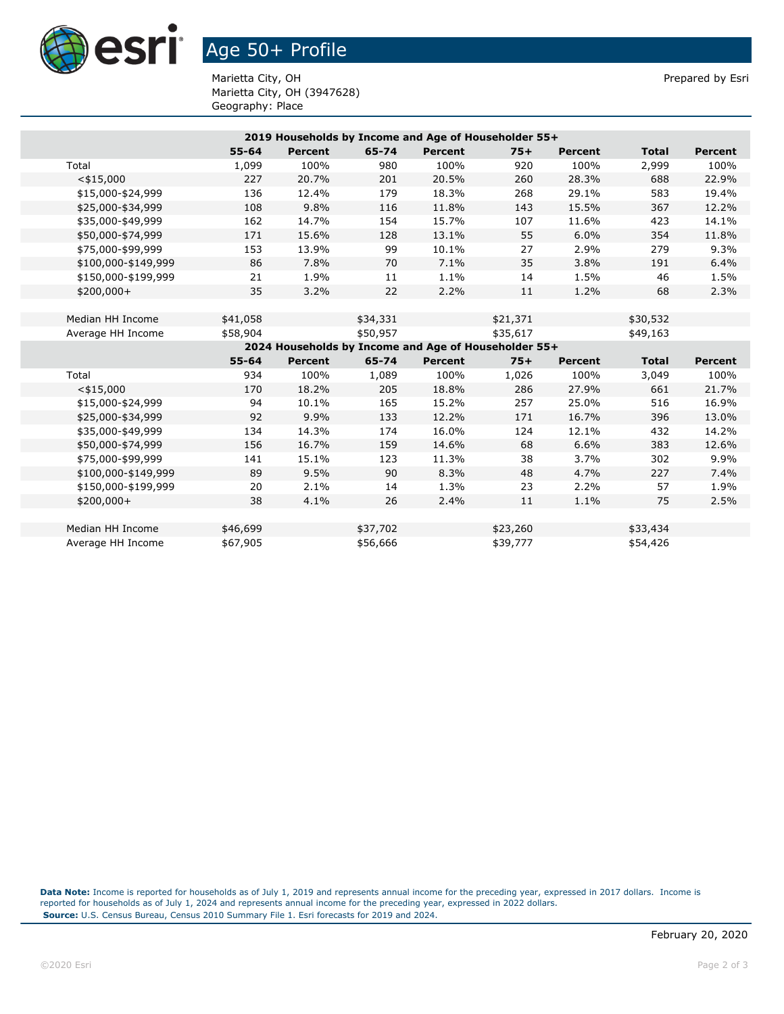

## Age 50+ Profile

Marietta City, OH **Prepared by Esri** Prepared by Esri Marietta City, OH (3947628) Geography: Place

|                     |           |                |          | 2019 Households by Income and Age of Householder 55+ |          |                |              |                |
|---------------------|-----------|----------------|----------|------------------------------------------------------|----------|----------------|--------------|----------------|
|                     | $55 - 64$ | <b>Percent</b> | 65-74    | Percent                                              | $75+$    | <b>Percent</b> | <b>Total</b> | <b>Percent</b> |
| Total               | 1,099     | 100%           | 980      | 100%                                                 | 920      | 100%           | 2,999        | 100%           |
| $<$ \$15,000        | 227       | 20.7%          | 201      | 20.5%                                                | 260      | 28.3%          | 688          | 22.9%          |
| \$15,000-\$24,999   | 136       | 12.4%          | 179      | 18.3%                                                | 268      | 29.1%          | 583          | 19.4%          |
| \$25,000-\$34,999   | 108       | 9.8%           | 116      | 11.8%                                                | 143      | 15.5%          | 367          | 12.2%          |
| \$35,000-\$49,999   | 162       | 14.7%          | 154      | 15.7%                                                | 107      | 11.6%          | 423          | 14.1%          |
| \$50,000-\$74,999   | 171       | 15.6%          | 128      | 13.1%                                                | 55       | 6.0%           | 354          | 11.8%          |
| \$75,000-\$99,999   | 153       | 13.9%          | 99       | 10.1%                                                | 27       | 2.9%           | 279          | 9.3%           |
| \$100,000-\$149,999 | 86        | 7.8%           | 70       | 7.1%                                                 | 35       | 3.8%           | 191          | 6.4%           |
| \$150,000-\$199,999 | 21        | 1.9%           | 11       | 1.1%                                                 | 14       | 1.5%           | 46           | 1.5%           |
| $$200,000+$         | 35        | 3.2%           | 22       | 2.2%                                                 | 11       | 1.2%           | 68           | 2.3%           |
|                     |           |                |          |                                                      |          |                |              |                |
| Median HH Income    | \$41,058  |                | \$34,331 |                                                      | \$21,371 |                | \$30,532     |                |
| Average HH Income   | \$58,904  |                | \$50,957 |                                                      | \$35,617 |                | \$49,163     |                |
|                     |           |                |          | 2024 Households by Income and Age of Householder 55+ |          |                |              |                |
|                     |           |                |          |                                                      |          |                |              |                |
|                     | $55 - 64$ | <b>Percent</b> | 65-74    | Percent                                              | $75+$    | <b>Percent</b> | <b>Total</b> | <b>Percent</b> |
| Total               | 934       | 100%           | 1,089    | 100%                                                 | 1,026    | 100%           | 3,049        | 100%           |
| $<$ \$15,000        | 170       | 18.2%          | 205      | 18.8%                                                | 286      | 27.9%          | 661          | 21.7%          |
| \$15,000-\$24,999   | 94        | 10.1%          | 165      | 15.2%                                                | 257      | 25.0%          | 516          | 16.9%          |
| \$25,000-\$34,999   | 92        | 9.9%           | 133      | 12.2%                                                | 171      | 16.7%          | 396          | 13.0%          |
| \$35,000-\$49,999   | 134       | 14.3%          | 174      | 16.0%                                                | 124      | 12.1%          | 432          | 14.2%          |
| \$50,000-\$74,999   | 156       | 16.7%          | 159      | 14.6%                                                | 68       | 6.6%           | 383          | 12.6%          |
| \$75,000-\$99,999   | 141       | 15.1%          | 123      | 11.3%                                                | 38       | 3.7%           | 302          | 9.9%           |
| \$100,000-\$149,999 | 89        | 9.5%           | 90       | 8.3%                                                 | 48       | 4.7%           | 227          | 7.4%           |
| \$150,000-\$199,999 | 20        | 2.1%           | 14       | 1.3%                                                 | 23       | 2.2%           | 57           | 1.9%           |
| $$200,000+$         | 38        | 4.1%           | 26       | 2.4%                                                 | 11       | 1.1%           | 75           | 2.5%           |
|                     |           |                |          |                                                      |          |                |              |                |
| Median HH Income    | \$46,699  |                | \$37,702 |                                                      | \$23,260 |                | \$33,434     |                |

**Data Note:** Income is reported for households as of July 1, 2019 and represents annual income for the preceding year, expressed in 2017 dollars. Income is reported for households as of July 1, 2024 and represents annual income for the preceding year, expressed in 2022 dollars. **Source:** U.S. Census Bureau, Census 2010 Summary File 1. Esri forecasts for 2019 and 2024.